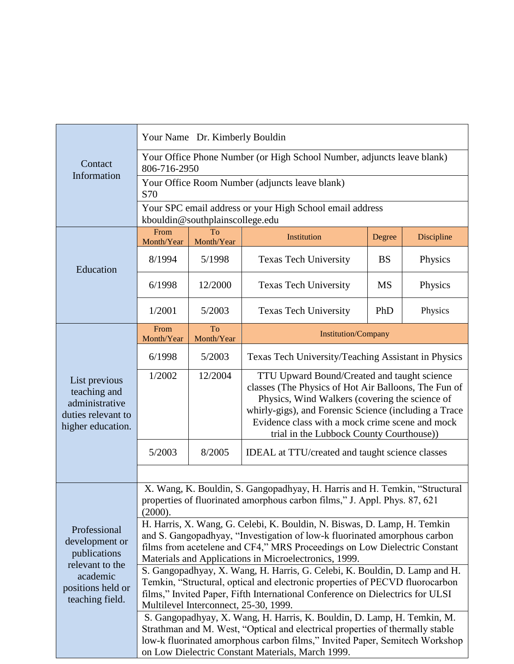| Contact<br>Information                                                                                                | Your Name Dr. Kimberly Bouldin                                                                                                                                                                                                                                                               |                  |                                                                                                                                                                                                                                                                                                               |           |            |  |
|-----------------------------------------------------------------------------------------------------------------------|----------------------------------------------------------------------------------------------------------------------------------------------------------------------------------------------------------------------------------------------------------------------------------------------|------------------|---------------------------------------------------------------------------------------------------------------------------------------------------------------------------------------------------------------------------------------------------------------------------------------------------------------|-----------|------------|--|
|                                                                                                                       | Your Office Phone Number (or High School Number, adjuncts leave blank)<br>806-716-2950                                                                                                                                                                                                       |                  |                                                                                                                                                                                                                                                                                                               |           |            |  |
|                                                                                                                       | Your Office Room Number (adjuncts leave blank)<br>S70                                                                                                                                                                                                                                        |                  |                                                                                                                                                                                                                                                                                                               |           |            |  |
|                                                                                                                       | Your SPC email address or your High School email address<br>kbouldin@southplainscollege.edu                                                                                                                                                                                                  |                  |                                                                                                                                                                                                                                                                                                               |           |            |  |
| Education                                                                                                             | From<br>Month/Year                                                                                                                                                                                                                                                                           | To<br>Month/Year | Institution                                                                                                                                                                                                                                                                                                   | Degree    | Discipline |  |
|                                                                                                                       | 8/1994                                                                                                                                                                                                                                                                                       | 5/1998           | <b>Texas Tech University</b>                                                                                                                                                                                                                                                                                  | <b>BS</b> | Physics    |  |
|                                                                                                                       | 6/1998                                                                                                                                                                                                                                                                                       | 12/2000          | <b>Texas Tech University</b>                                                                                                                                                                                                                                                                                  | <b>MS</b> | Physics    |  |
|                                                                                                                       | 1/2001                                                                                                                                                                                                                                                                                       | 5/2003           | <b>Texas Tech University</b>                                                                                                                                                                                                                                                                                  | PhD       | Physics    |  |
| List previous<br>teaching and<br>administrative<br>duties relevant to<br>higher education.                            | From<br>Month/Year                                                                                                                                                                                                                                                                           | To<br>Month/Year | <b>Institution/Company</b>                                                                                                                                                                                                                                                                                    |           |            |  |
|                                                                                                                       | 6/1998                                                                                                                                                                                                                                                                                       | 5/2003           | Texas Tech University/Teaching Assistant in Physics                                                                                                                                                                                                                                                           |           |            |  |
|                                                                                                                       | 1/2002                                                                                                                                                                                                                                                                                       | 12/2004          | TTU Upward Bound/Created and taught science<br>classes (The Physics of Hot Air Balloons, The Fun of<br>Physics, Wind Walkers (covering the science of<br>whirly-gigs), and Forensic Science (including a Trace<br>Evidence class with a mock crime scene and mock<br>trial in the Lubbock County Courthouse)) |           |            |  |
|                                                                                                                       | 5/2003                                                                                                                                                                                                                                                                                       | 8/2005           | IDEAL at TTU/created and taught science classes                                                                                                                                                                                                                                                               |           |            |  |
|                                                                                                                       |                                                                                                                                                                                                                                                                                              |                  |                                                                                                                                                                                                                                                                                                               |           |            |  |
| Professional<br>development or<br>publications<br>relevant to the<br>academic<br>positions held or<br>teaching field. | X. Wang, K. Bouldin, S. Gangopadhyay, H. Harris and H. Temkin, "Structural<br>properties of fluorinated amorphous carbon films," J. Appl. Phys. 87, 621<br>(2000).                                                                                                                           |                  |                                                                                                                                                                                                                                                                                                               |           |            |  |
|                                                                                                                       | H. Harris, X. Wang, G. Celebi, K. Bouldin, N. Biswas, D. Lamp, H. Temkin<br>and S. Gangopadhyay, "Investigation of low-k fluorinated amorphous carbon<br>films from acetelene and CF4," MRS Proceedings on Low Dielectric Constant<br>Materials and Applications in Microelectronics, 1999.  |                  |                                                                                                                                                                                                                                                                                                               |           |            |  |
|                                                                                                                       | S. Gangopadhyay, X. Wang, H. Harris, G. Celebi, K. Bouldin, D. Lamp and H.<br>Temkin, "Structural, optical and electronic properties of PECVD fluorocarbon<br>films," Invited Paper, Fifth International Conference on Dielectrics for ULSI<br>Multilevel Interconnect, 25-30, 1999.         |                  |                                                                                                                                                                                                                                                                                                               |           |            |  |
|                                                                                                                       | S. Gangopadhyay, X. Wang, H. Harris, K. Bouldin, D. Lamp, H. Temkin, M.<br>Strathman and M. West, "Optical and electrical properties of thermally stable<br>low-k fluorinated amorphous carbon films," Invited Paper, Semitech Workshop<br>on Low Dielectric Constant Materials, March 1999. |                  |                                                                                                                                                                                                                                                                                                               |           |            |  |

ı